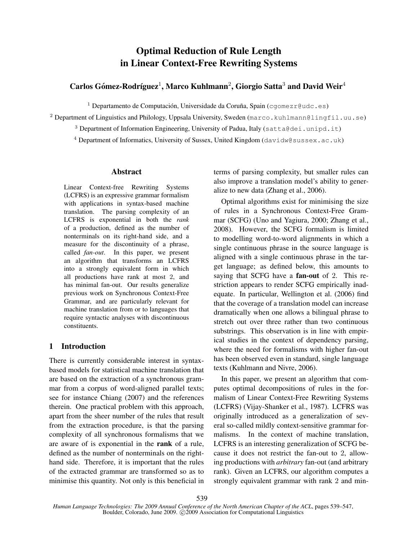# Optimal Reduction of Rule Length in Linear Context-Free Rewriting Systems

## Carlos Gómez-Rodríguez<sup>1</sup>, Marco Kuhlmann<sup>2</sup>, Giorgio Satta<sup>3</sup> and David Weir<sup>4</sup>

 $1$  Departamento de Computación, Universidade da Coruña, Spain (cgomezr@udc.es)

<sup>2</sup> Department of Linguistics and Philology, Uppsala University, Sweden (marco.kuhlmann@lingfil.uu.se)

<sup>3</sup> Department of Information Engineering, University of Padua, Italy (satta@dei.unipd.it)

<sup>4</sup> Department of Informatics, University of Sussex, United Kingdom (davidw@sussex.ac.uk)

#### Abstract

Linear Context-free Rewriting Systems (LCFRS) is an expressive grammar formalism with applications in syntax-based machine translation. The parsing complexity of an LCFRS is exponential in both the *rank* of a production, defined as the number of nonterminals on its right-hand side, and a measure for the discontinuity of a phrase, called *fan-out*. In this paper, we present an algorithm that transforms an LCFRS into a strongly equivalent form in which all productions have rank at most 2, and has minimal fan-out. Our results generalize previous work on Synchronous Context-Free Grammar, and are particularly relevant for machine translation from or to languages that require syntactic analyses with discontinuous constituents.

### 1 Introduction

There is currently considerable interest in syntaxbased models for statistical machine translation that are based on the extraction of a synchronous grammar from a corpus of word-aligned parallel texts; see for instance Chiang (2007) and the references therein. One practical problem with this approach, apart from the sheer number of the rules that result from the extraction procedure, is that the parsing complexity of all synchronous formalisms that we are aware of is exponential in the rank of a rule, defined as the number of nonterminals on the righthand side. Therefore, it is important that the rules of the extracted grammar are transformed so as to minimise this quantity. Not only is this beneficial in terms of parsing complexity, but smaller rules can also improve a translation model's ability to generalize to new data (Zhang et al., 2006).

Optimal algorithms exist for minimising the size of rules in a Synchronous Context-Free Grammar (SCFG) (Uno and Yagiura, 2000; Zhang et al., 2008). However, the SCFG formalism is limited to modelling word-to-word alignments in which a single continuous phrase in the source language is aligned with a single continuous phrase in the target language; as defined below, this amounts to saying that SCFG have a fan-out of 2. This restriction appears to render SCFG empirically inadequate. In particular, Wellington et al. (2006) find that the coverage of a translation model can increase dramatically when one allows a bilingual phrase to stretch out over three rather than two continuous substrings. This observation is in line with empirical studies in the context of dependency parsing, where the need for formalisms with higher fan-out has been observed even in standard, single language texts (Kuhlmann and Nivre, 2006).

In this paper, we present an algorithm that computes optimal decompositions of rules in the formalism of Linear Context-Free Rewriting Systems (LCFRS) (Vijay-Shanker et al., 1987). LCFRS was originally introduced as a generalization of several so-called mildly context-sensitive grammar formalisms. In the context of machine translation, LCFRS is an interesting generalization of SCFG because it does not restrict the fan-out to 2, allowing productions with *arbitrary* fan-out (and arbitrary rank). Given an LCFRS, our algorithm computes a strongly equivalent grammar with rank 2 and min-

*Human Language Technologies: The 2009 Annual Conference of the North American Chapter of the ACL*, pages 539–547, Boulder, Colorado, June 2009. C<sub>2009</sub> Association for Computational Linguistics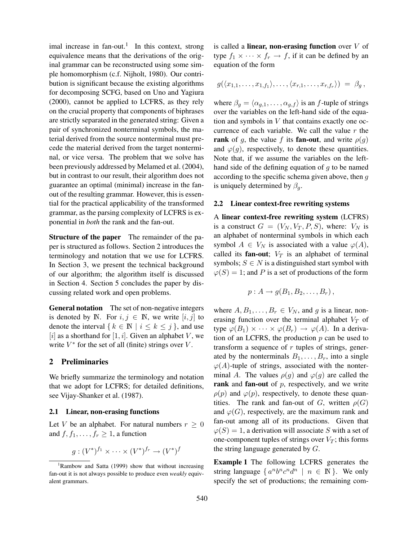imal increase in fan-out.<sup>1</sup> In this context, strong equivalence means that the derivations of the original grammar can be reconstructed using some simple homomorphism (c.f. Nijholt, 1980). Our contribution is significant because the existing algorithms for decomposing SCFG, based on Uno and Yagiura (2000), cannot be applied to LCFRS, as they rely on the crucial property that components of biphrases are strictly separated in the generated string: Given a pair of synchronized nonterminal symbols, the material derived from the source nonterminal must precede the material derived from the target nonterminal, or vice versa. The problem that we solve has been previously addressed by Melamed et al. (2004), but in contrast to our result, their algorithm does not guarantee an optimal (minimal) increase in the fanout of the resulting grammar. However, this is essential for the practical applicability of the transformed grammar, as the parsing complexity of LCFRS is exponential in *both* the rank and the fan-out.

**Structure of the paper** The remainder of the paper is structured as follows. Section 2 introduces the terminology and notation that we use for LCFRS. In Section 3, we present the technical background of our algorithm; the algorithm itself is discussed in Section 4. Section 5 concludes the paper by discussing related work and open problems.

General notation The set of non-negative integers is denoted by N. For  $i, j \in \mathbb{N}$ , we write  $[i, j]$  to denote the interval  $\{k \in \mathbb{N} \mid i \leq k \leq j\}$ , and use [i] as a shorthand for [1, i]. Given an alphabet V, we write  $V^*$  for the set of all (finite) strings over  $V$ .

### 2 Preliminaries

We briefly summarize the terminology and notation that we adopt for LCFRS; for detailed definitions, see Vijay-Shanker et al. (1987).

### 2.1 Linear, non-erasing functions

Let V be an alphabet. For natural numbers  $r \geq 0$ and  $f, f_1, \ldots, f_r \geq 1$ , a function

$$
g:(V^*)^{f_1}\times\cdots\times(V^*)^{f_r}\to(V^*)^f
$$

is called a **linear, non-erasing function** over  $V$  of type  $f_1 \times \cdots \times f_r \rightarrow f$ , if it can be defined by an equation of the form

$$
g(\langle x_{1,1},\ldots,x_{1,f_1}\rangle,\ldots,\langle x_{r,1},\ldots,x_{r,f_r}\rangle) = \beta_g,
$$

where  $\beta_q = \langle \alpha_{q,1}, \dots, \alpha_{q,f} \rangle$  is an f-tuple of strings over the variables on the left-hand side of the equation and symbols in  $V$  that contains exactly one occurrence of each variable. We call the value  $r$  the **rank** of g, the value f its **fan-out**, and write  $\rho(g)$ and  $\varphi(g)$ , respectively, to denote these quantities. Note that, if we assume the variables on the lefthand side of the defining equation of  $g$  to be named according to the specific schema given above, then g is uniquely determined by  $\beta_q$ .

#### 2.2 Linear context-free rewriting systems

A linear context-free rewriting system (LCFRS) is a construct  $G = (V_N, V_T, P, S)$ , where:  $V_N$  is an alphabet of nonterminal symbols in which each symbol  $A \in V_N$  is associated with a value  $\varphi(A)$ , called its **fan-out**;  $V_T$  is an alphabet of terminal symbols;  $S \in N$  is a distinguished start symbol with  $\varphi(S) = 1$ ; and P is a set of productions of the form

$$
p: A \to g(B_1, B_2, \ldots, B_r),
$$

where  $A, B_1, \ldots, B_r \in V_N$ , and g is a linear, nonerasing function over the terminal alphabet  $V_T$  of type  $\varphi(B_1) \times \cdots \times \varphi(B_r) \to \varphi(A)$ . In a derivation of an LCFRS, the production  $p$  can be used to transform a sequence of  $r$  tuples of strings, generated by the nonterminals  $B_1, \ldots, B_r$ , into a single  $\varphi(A)$ -tuple of strings, associated with the nonterminal A. The values  $\rho(g)$  and  $\varphi(g)$  are called the rank and fan-out of  $p$ , respectively, and we write  $\rho(p)$  and  $\varphi(p)$ , respectively, to denote these quantities. The rank and fan-out of G, written  $\rho(G)$ and  $\varphi(G)$ , respectively, are the maximum rank and fan-out among all of its productions. Given that  $\varphi(S) = 1$ , a derivation will associate S with a set of one-component tuples of strings over  $V_T$ ; this forms the string language generated by  $G$ .

Example 1 The following LCFRS generates the string language  $\{a^n b^n c^n d^n \mid n \in \mathbb{N}\}\.$  We only specify the set of productions; the remaining com-

 ${}^{1}$ Rambow and Satta (1999) show that without increasing fan-out it is not always possible to produce even *weakly* equivalent grammars.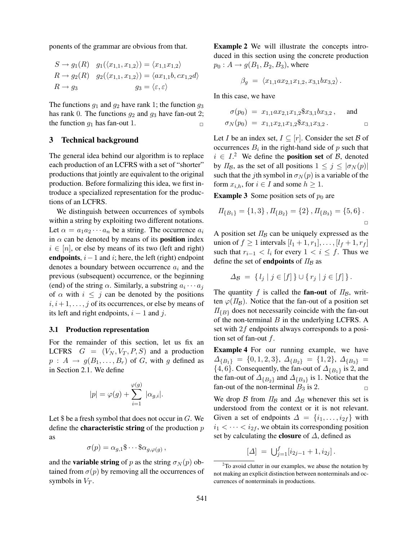ponents of the grammar are obvious from that.

$$
S \to g_1(R) \quad g_1(\langle x_{1,1}, x_{1,2} \rangle) = \langle x_{1,1} x_{1,2} \rangle
$$
  
\n
$$
R \to g_2(R) \quad g_2(\langle x_{1,1}, x_{1,2} \rangle) = \langle ax_{1,1}b, cx_{1,2}d \rangle
$$
  
\n
$$
R \to g_3 \qquad \qquad g_3 = \langle \varepsilon, \varepsilon \rangle
$$

The functions  $g_1$  and  $g_2$  have rank 1; the function  $g_3$ has rank 0. The functions  $q_2$  and  $q_3$  have fan-out 2; the function  $g_1$  has fan-out 1.

### 3 Technical background

The general idea behind our algorithm is to replace each production of an LCFRS with a set of "shorter" productions that jointly are equivalent to the original production. Before formalizing this idea, we first introduce a specialized representation for the productions of an LCFRS.

We distinguish between occurrences of symbols within a string by exploiting two different notations. Let  $\alpha = a_1 a_2 \cdots a_n$  be a string. The occurrence  $a_i$ in  $\alpha$  can be denoted by means of its **position** index  $i \in [n]$ , or else by means of its two (left and right) endpoints,  $i-1$  and  $i$ ; here, the left (right) endpoint denotes a boundary between occurrence  $a_i$  and the previous (subsequent) occurrence, or the beginning (end) of the string  $\alpha$ . Similarly, a substring  $a_i \cdots a_j$ of  $\alpha$  with  $i \leq j$  can be denoted by the positions  $i, i+1, \ldots, j$  of its occurrences, or else by means of its left and right endpoints,  $i - 1$  and j.

### 3.1 Production representation

For the remainder of this section, let us fix an LCFRS  $G = (V_N, V_T, P, S)$  and a production  $p : A \rightarrow g(B_1, \ldots, B_r)$  of G, with g defined as in Section 2.1. We define

$$
|p| = \varphi(g) + \sum_{i=1}^{\varphi(g)} |\alpha_{g,i}|.
$$

Let  $\$$  be a fresh symbol that does not occur in  $G$ . We define the **characteristic string** of the production  $p$ as

$$
\sigma(p) = \alpha_{g,1} \$ \cdots \$ \alpha_{g,\varphi(g)} ,
$$

and the **variable string** of p as the string  $\sigma_N(p)$  obtained from  $\sigma(p)$  by removing all the occurrences of symbols in  $V_T$ .

Example 2 We will illustrate the concepts introduced in this section using the concrete production  $p_0: A \rightarrow g(B_1, B_2, B_3)$ , where

$$
\beta_g = \langle x_{1,1}ax_{2,1}x_{1,2}, x_{3,1}bx_{3,2} \rangle.
$$

In this case, we have

$$
\sigma(p_0) = x_{1,1}ax_{2,1}x_{1,2}x_{3,1}bx_{3,2}, \text{ and}
$$
  

$$
\sigma_N(p_0) = x_{1,1}x_{2,1}x_{1,2}x_{3,1}x_{3,2}.
$$

Let *I* be an index set,  $I \subseteq [r]$ . Consider the set *B* of occurrences  $B_i$  in the right-hand side of p such that  $i \in I<sup>2</sup>$  We define the **position set** of  $\beta$ , denoted by  $\Pi_B$ , as the set of all positions  $1 \leq j \leq |\sigma_N(p)|$ such that the jth symbol in  $\sigma_N(p)$  is a variable of the form  $x_{i,h}$ , for  $i \in I$  and some  $h \geq 1$ .

**Example 3** Some position sets of  $p_0$  are

$$
\Pi_{\{B_1\}} = \{1,3\}, \Pi_{\{B_2\}} = \{2\}, \Pi_{\{B_3\}} = \{5,6\}.
$$

A position set  $\Pi_{\mathcal{B}}$  can be uniquely expressed as the union of  $f \ge 1$  intervals  $[l_1 + 1, r_1], \ldots, [l_f + 1, r_f]$ such that  $r_{i-1} < l_i$  for every  $1 < i \leq f$ . Thus we define the set of **endpoints** of  $\Pi_B$  as

$$
\Delta_{\mathcal{B}} = \{ l_j \mid j \in [f] \} \cup \{ r_j \mid j \in [f] \}.
$$

The quantity f is called the fan-out of  $\Pi_{\mathcal{B}}$ , written  $\varphi(\Pi_B)$ . Notice that the fan-out of a position set  $\Pi_{\{B\}}$  does not necessarily coincide with the fan-out of the non-terminal  $B$  in the underlying LCFRS. A set with 2f endpoints always corresponds to a position set of fan-out f.

Example 4 For our running example, we have  $\Delta_{\{B_1\}} = \{0, 1, 2, 3\}, \ \Delta_{\{B_2\}} = \{1, 2\}, \ \Delta_{\{B_3\}} =$  $\{4, 6\}$ . Consequently, the fan-out of  $\Delta_{\{B_1\}}$  is 2, and the fan-out of  $\Delta_{\{B_2\}}$  and  $\Delta_{\{B_3\}}$  is 1. Notice that the fan-out of the non-terminal  $B_3$  is 2.

We drop B from  $\Pi_B$  and  $\Delta_B$  whenever this set is understood from the context or it is not relevant. Given a set of endpoints  $\Delta = \{i_1, \ldots, i_{2f}\}\$  with  $i_1 < \cdots < i_{2f}$ , we obtain its corresponding position set by calculating the **closure** of  $\Delta$ , defined as

 $[\Delta] = \bigcup_{j=1}^{f} [i_{2j-1} + 1, i_{2j}]$ .

 $2$ To avoid clutter in our examples, we abuse the notation by not making an explicit distinction between nonterminals and occurrences of nonterminals in productions.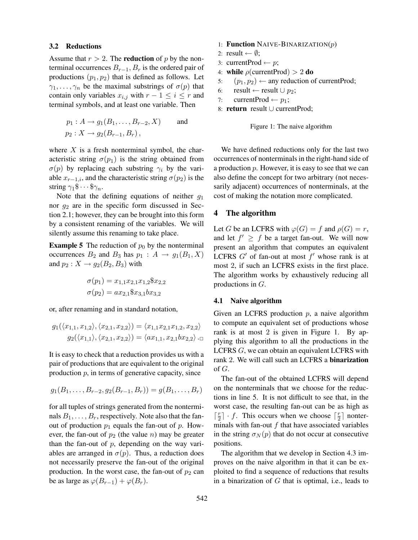#### 3.2 Reductions

Assume that  $r > 2$ . The **reduction** of p by the nonterminal occurrences  $B_{r-1}$ ,  $B_r$  is the ordered pair of productions  $(p_1, p_2)$  that is defined as follows. Let  $\gamma_1, \ldots, \gamma_n$  be the maximal substrings of  $\sigma(p)$  that contain only variables  $x_{i,j}$  with  $r - 1 \leq i \leq r$  and terminal symbols, and at least one variable. Then

$$
p_1: A \to g_1(B_1, ..., B_{r-2}, X)
$$
 and  
\n $p_2: X \to g_2(B_{r-1}, B_r)$ ,

where  $X$  is a fresh nonterminal symbol, the characteristic string  $\sigma(p_1)$  is the string obtained from  $\sigma(p)$  by replacing each substring  $\gamma_i$  by the variable  $x_{r-1,i}$ , and the characteristic string  $\sigma(p_2)$  is the string  $\gamma_1\$  $\cdots$  \$ $\gamma_n$ .

Note that the defining equations of neither  $q_1$ nor  $g_2$  are in the specific form discussed in Section 2.1; however, they can be brought into this form by a consistent renaming of the variables. We will silently assume this renaming to take place.

**Example 5** The reduction of  $p_0$  by the nonterminal occurrences  $B_2$  and  $B_3$  has  $p_1: A \rightarrow g_1(B_1, X)$ and  $p_2: X \rightarrow g_2(B_2, B_3)$  with

$$
\sigma(p_1) = x_{1,1}x_{2,1}x_{1,2}x_{2,2}
$$

$$
\sigma(p_2) = ax_{2,1}x_{3,1}bx_{3,2}
$$

or, after renaming and in standard notation,

$$
g_1(\langle x_{1,1}, x_{1,2}\rangle, \langle x_{2,1}, x_{2,2}\rangle) = \langle x_{1,1}x_{2,1}x_{1,2}, x_{2,2}\rangle
$$

$$
g_2(\langle x_{1,1}\rangle, \langle x_{2,1}, x_{2,2}\rangle) = \langle ax_{1,1}, x_{2,1}bx_{2,2}\rangle \cdot \Box
$$

It is easy to check that a reduction provides us with a pair of productions that are equivalent to the original production  $p$ , in terms of generative capacity, since

$$
g_1(B_1,\ldots,B_{r-2},g_2(B_{r-1},B_r))=g(B_1,\ldots,B_r)
$$

for all tuples of strings generated from the nonterminals  $B_1, \ldots, B_r$ , respectively. Note also that the fanout of production  $p_1$  equals the fan-out of p. However, the fan-out of  $p_2$  (the value n) may be greater than the fan-out of  $p$ , depending on the way variables are arranged in  $\sigma(p)$ . Thus, a reduction does not necessarily preserve the fan-out of the original production. In the worst case, the fan-out of  $p_2$  can be as large as  $\varphi(B_{r-1}) + \varphi(B_r)$ .

- 1: Function NAIVE-BINARIZATION $(p)$
- 2: result  $\leftarrow \emptyset$ ;
- 3: currentProd  $\leftarrow p$ ;
- 4: while  $\rho$ (currentProd) > 2 do
- 5:  $(p_1, p_2) \leftarrow$  any reduction of currentProd;<br>6: result  $\leftarrow$  result  $\cup p_2$ ;
- 6: result ← result ∪  $p_2$ ;<br>7: currentProd ←  $p_1$ :
- currentProd  $\leftarrow p_1$ ;
- 8: return result ∪ currentProd;

Figure 1: The naive algorithm

We have defined reductions only for the last two occurrences of nonterminals in the right-hand side of a production  $p$ . However, it is easy to see that we can also define the concept for two arbitrary (not necessarily adjacent) occurrences of nonterminals, at the cost of making the notation more complicated.

### 4 The algorithm

Let G be an LCFRS with  $\varphi(G) = f$  and  $\rho(G) = r$ , and let  $f' \geq f$  be a target fan-out. We will now present an algorithm that computes an equivalent LCFRS  $G'$  of fan-out at most  $f'$  whose rank is at most 2, if such an LCFRS exists in the first place. The algorithm works by exhaustively reducing all productions in G.

### 4.1 Naive algorithm

Given an LCFRS production  $p$ , a naive algorithm to compute an equivalent set of productions whose rank is at most 2 is given in Figure 1. By applying this algorithm to all the productions in the LCFRS G, we can obtain an equivalent LCFRS with rank 2. We will call such an LCFRS a binarization of  $G$ .

The fan-out of the obtained LCFRS will depend on the nonterminals that we choose for the reductions in line 5. It is not difficult to see that, in the worst case, the resulting fan-out can be as high as  $\lceil \frac{r}{2}$  $\lfloor \frac{r}{2} \rfloor$  · f. This occurs when we choose  $\lceil \frac{r}{2} \rceil$  $\frac{r}{2}$  nonterminals with fan-out  $f$  that have associated variables in the string  $\sigma_N(p)$  that do not occur at consecutive positions.

The algorithm that we develop in Section 4.3 improves on the naive algorithm in that it can be exploited to find a sequence of reductions that results in a binarization of  $G$  that is optimal, i.e., leads to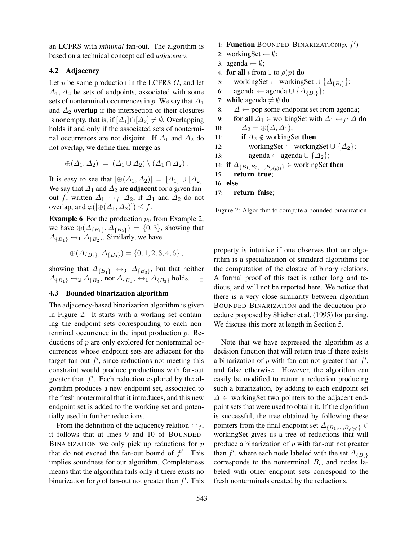an LCFRS with *minimal* fan-out. The algorithm is based on a technical concept called *adjacency*.

### 4.2 Adjacency

Let  $p$  be some production in the LCFRS  $G$ , and let  $\Delta_1, \Delta_2$  be sets of endpoints, associated with some sets of nonterminal occurrences in p. We say that  $\Delta_1$ and  $\Delta_2$  overlap if the intersection of their closures is nonempty, that is, if  $[\Delta_1] \cap [\Delta_2] \neq \emptyset$ . Overlapping holds if and only if the associated sets of nonterminal occurrences are not disjoint. If  $\Delta_1$  and  $\Delta_2$  do not overlap, we define their merge as

$$
\oplus (\Delta_1, \Delta_2) = (\Delta_1 \cup \Delta_2) \setminus (\Delta_1 \cap \Delta_2).
$$

It is easy to see that  $[\oplus(\Delta_1, \Delta_2)] = [\Delta_1] \cup [\Delta_2]$ . We say that  $\Delta_1$  and  $\Delta_2$  are **adjacent** for a given fanout f, written  $\Delta_1 \leftrightarrow_f \Delta_2$ , if  $\Delta_1$  and  $\Delta_2$  do not overlap, and  $\varphi([\oplus(\Delta_1, \Delta_2)]) \leq f$ .

**Example 6** For the production  $p_0$  from Example 2, we have  $\oplus$  ( $\Delta_{\{B_1\}}$ ,  $\Delta_{\{B_2\}}$ ) = {0, 3}, showing that  $\Delta_{\{B_1\}} \leftrightarrow_1 \Delta_{\{B_2\}}$ . Similarly, we have

$$
\oplus (\Delta_{\{B_1\}}, \Delta_{\{B_3\}}) = \{0, 1, 2, 3, 4, 6\},\
$$

showing that  $\Delta_{\{B_1\}} \leftrightarrow_3 \Delta_{\{B_3\}}$ , but that neither  $\Delta_{\{B_1\}} \leftrightarrow_2 \Delta_{\{B_3\}}$  nor  $\Delta_{\{B_1\}} \leftrightarrow_1 \Delta_{\{B_3\}}$  holds.

### 4.3 Bounded binarization algorithm

The adjacency-based binarization algorithm is given in Figure 2. It starts with a working set containing the endpoint sets corresponding to each nonterminal occurrence in the input production  $p$ . Reductions of p are only explored for nonterminal occurrences whose endpoint sets are adjacent for the target fan-out  $f'$ , since reductions not meeting this constraint would produce productions with fan-out greater than  $f'$ . Each reduction explored by the algorithm produces a new endpoint set, associated to the fresh nonterminal that it introduces, and this new endpoint set is added to the working set and potentially used in further reductions.

From the definition of the adjacency relation  $\leftrightarrow$   $_{f}$ , it follows that at lines 9 and 10 of BOUNDED-BINARIZATION we only pick up reductions for  $p$ that do not exceed the fan-out bound of  $f'$ . This implies soundness for our algorithm. Completeness means that the algorithm fails only if there exists no binarization for  $p$  of fan-out not greater than  $f'$ . This

- 1: **Function** BOUNDED-BINARIZATION $(p, f')$
- 2: workingSet  $\leftarrow \emptyset$ ;
- 3: agenda  $\leftarrow \emptyset$ ;
- 4: for all i from 1 to  $\rho(p)$  do
- 5: workingSet ← workingSet ∪ { $\Delta_{\{B_i\}}$ };<br>6: agenda ← agenda ∪ { $\Delta_{IR,3}$ };
- agenda ← agenda ∪  $\{\Delta_{\{B_i\}}\};$
- 7: while agenda  $\neq \emptyset$  do
- 8:  $\Delta \leftarrow$  pop some endpoint set from agenda;<br>9: **for all**  $\Delta_1$  ∈ workingSet with  $\Delta_1 \leftarrow_{f'} \Delta$

```
9: for all \Delta_1 \in workingSet with \Delta_1 \leftrightarrow_{f'} \Delta do
```
- 10:  $\Delta_2 = \bigoplus (\Delta, \Delta_1);$
- 11: **if**  $\Delta_2 \notin$  workingSet **then**<br>12: workingSet ← working

12: workingSet 
$$
\leftarrow
$$
 workingSet  $\cup$  { $\Delta_2$ };

```
13: agenda ← agenda ∪ {\Delta_2};
```

```
14: if \Delta_{\{B_1, B_2, ..., B_{\rho(p)\}}} \in \text{workingSet} then<br>15: return true:
```

```
return true;
```

```
16: else
```
17: return false;

Figure 2: Algorithm to compute a bounded binarization

property is intuitive if one observes that our algorithm is a specialization of standard algorithms for the computation of the closure of binary relations. A formal proof of this fact is rather long and tedious, and will not be reported here. We notice that there is a very close similarity between algorithm BOUNDED-BINARIZATION and the deduction procedure proposed by Shieber et al. (1995) for parsing. We discuss this more at length in Section 5.

Note that we have expressed the algorithm as a decision function that will return true if there exists a binarization of  $p$  with fan-out not greater than  $f'$ , and false otherwise. However, the algorithm can easily be modified to return a reduction producing such a binarization, by adding to each endpoint set  $\Delta \in$  workingSet two pointers to the adjacent endpoint sets that were used to obtain it. If the algorithm is successful, the tree obtained by following these pointers from the final endpoint set  $\Delta_{\{B_1,...,B_{\rho(p)}\}}$ workingSet gives us a tree of reductions that will produce a binarization of  $p$  with fan-out not greater than f', where each node labeled with the set  $\Delta_{\{B_i\}}$ corresponds to the nonterminal  $B_i$ , and nodes labeled with other endpoint sets correspond to the fresh nonterminals created by the reductions.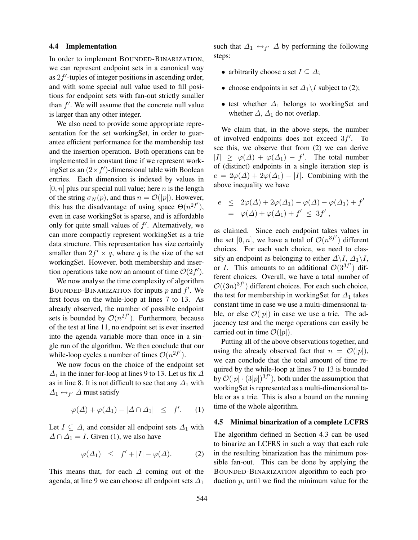#### 4.4 Implementation

In order to implement BOUNDED-BINARIZATION, we can represent endpoint sets in a canonical way as  $2f'$ -tuples of integer positions in ascending order, and with some special null value used to fill positions for endpoint sets with fan-out strictly smaller than  $f'$ . We will assume that the concrete null value is larger than any other integer.

We also need to provide some appropriate representation for the set workingSet, in order to guarantee efficient performance for the membership test and the insertion operation. Both operations can be implemented in constant time if we represent workingSet as an  $(2 \times f')$ -dimensional table with Boolean entries. Each dimension is indexed by values in  $[0, n]$  plus our special null value; here *n* is the length of the string  $\sigma_N(p)$ , and thus  $n = \mathcal{O}(|p|)$ . However, this has the disadvantage of using space  $\Theta(n^{2f'})$ , even in case workingSet is sparse, and is affordable only for quite small values of  $f'$ . Alternatively, we can more compactly represent workingSet as a trie data structure. This representation has size certainly smaller than  $2f' \times q$ , where q is the size of the set workingSet. However, both membership and insertion operations take now an amount of time  $\mathcal{O}(2f')$ .

We now analyse the time complexity of algorithm BOUNDED-BINARIZATION for inputs  $p$  and  $f'$ . We first focus on the while-loop at lines 7 to 13. As already observed, the number of possible endpoint sets is bounded by  $\mathcal{O}(n^{2f'})$ . Furthermore, because of the test at line 11, no endpoint set is ever inserted into the agenda variable more than once in a single run of the algorithm. We then conclude that our while-loop cycles a number of times  $\mathcal{O}(n^{2f'})$ .

We now focus on the choice of the endpoint set  $\Delta_1$  in the inner for-loop at lines 9 to 13. Let us fix  $\Delta$ as in line 8. It is not difficult to see that any  $\Delta_1$  with  $\Delta_1 \leftrightarrow_{f'} \Delta$  must satisfy

$$
\varphi(\Delta) + \varphi(\Delta_1) - |\Delta \cap \Delta_1| \leq f'. \qquad (1)
$$

Let  $I \subseteq \Delta$ , and consider all endpoint sets  $\Delta_1$  with  $\Delta \cap \Delta_1 = I$ . Given (1), we also have

$$
\varphi(\Delta_1) \leq f' + |I| - \varphi(\Delta). \tag{2}
$$

This means that, for each  $\Delta$  coming out of the agenda, at line 9 we can choose all endpoint sets  $\Delta_1$ 

such that  $\Delta_1 \leftrightarrow_{f'} \Delta$  by performing the following steps:

- arbitrarily choose a set  $I \subseteq \Delta$ ;
- choose endpoints in set  $\Delta_1 \setminus I$  subject to (2);
- test whether  $\Delta_1$  belongs to workingSet and whether  $\Delta$ ,  $\Delta_1$  do not overlap.

We claim that, in the above steps, the number of involved endpoints does not exceed  $3f'$ . To see this, we observe that from (2) we can derive  $|I| \ge \varphi(\Delta) + \varphi(\Delta_1) - f'$ . The total number of (distinct) endpoints in a single iteration step is  $e = 2\varphi(\Delta) + 2\varphi(\Delta_1) - |I|$ . Combining with the above inequality we have

$$
e \leq 2\varphi(\Delta) + 2\varphi(\Delta_1) - \varphi(\Delta) - \varphi(\Delta_1) + f'
$$
  
=  $\varphi(\Delta) + \varphi(\Delta_1) + f' \leq 3f'$ ,

as claimed. Since each endpoint takes values in the set  $[0, n]$ , we have a total of  $\mathcal{O}(n^{3f'})$  different choices. For each such choice, we need to classify an endpoint as belonging to either  $\Delta \backslash I$ ,  $\Delta_1 \backslash I$ , or *I*. This amounts to an additional  $\mathcal{O}(3^{3f'})$  different choices. Overall, we have a total number of  $\mathcal{O}((3n)^{3f'})$  different choices. For each such choice, the test for membership in workingSet for  $\Delta_1$  takes constant time in case we use a multi-dimensional table, or else  $\mathcal{O}(|p|)$  in case we use a trie. The adjacency test and the merge operations can easily be carried out in time  $\mathcal{O}(|p|)$ .

Putting all of the above observations together, and using the already observed fact that  $n = \mathcal{O}(|p|)$ , we can conclude that the total amount of time required by the while-loop at lines 7 to 13 is bounded by  $\mathcal{O}(|p| \cdot (3|p|)^{3f'})$ , both under the assumption that workingSet is represented as a multi-dimensional table or as a trie. This is also a bound on the running time of the whole algorithm.

#### 4.5 Minimal binarization of a complete LCFRS

The algorithm defined in Section 4.3 can be used to binarize an LCFRS in such a way that each rule in the resulting binarization has the minimum possible fan-out. This can be done by applying the BOUNDED-BINARIZATION algorithm to each production  $p$ , until we find the minimum value for the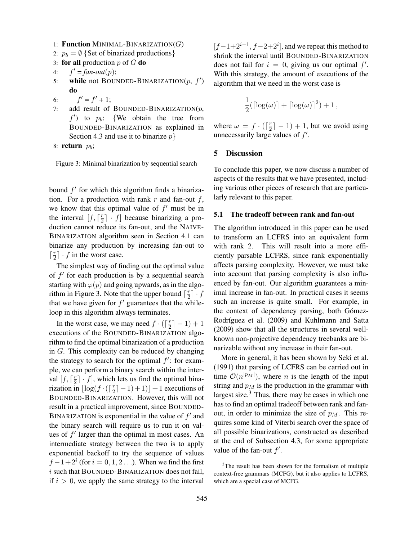- 1: Function MINIMAL-BINARIZATION $(G)$
- 2:  $p_b = \emptyset$  {Set of binarized productions}
- 3: for all production  $p$  of  $G$  do
- $4:$  $f' = fan-out(p);$
- 5: while not BOUNDED-BINARIZATION $(p, f')$ do
- 6: f  $' = f' + 1;$
- 7: add result of BOUNDED-BINARIZATION $(p,$  $f'$ ) to  $p_b$ ; {We obtain the tree from BOUNDED-BINARIZATION as explained in Section 4.3 and use it to binarize  $p$

```
8: return p_b;
```
Figure 3: Minimal binarization by sequential search

bound  $f'$  for which this algorithm finds a binarization. For a production with rank  $r$  and fan-out  $f$ , we know that this optimal value of  $f'$  must be in the interval  $[f, \lceil \frac{r}{2} \rceil]$  $\lfloor \frac{r}{2} \rfloor$   $\cdot$   $f$ ] because binarizing a production cannot reduce its fan-out, and the NAIVE-BINARIZATION algorithm seen in Section 4.1 can binarize any production by increasing fan-out to  $\lceil \frac{r}{2}$  $\frac{r}{2}$   $\cdot$  f in the worst case.

The simplest way of finding out the optimal value of  $f'$  for each production is by a sequential search starting with  $\varphi(p)$  and going upwards, as in the algorithm in Figure 3. Note that the upper bound  $\lceil \frac{r}{2} \rceil$  $\frac{r}{2}$ ]  $\cdot$  f that we have given for  $f'$  guarantees that the whileloop in this algorithm always terminates.

In the worst case, we may need  $f \cdot (\lceil \frac{r}{2} \rceil)$  $\frac{r}{2}$ ] – 1) + 1 executions of the BOUNDED-BINARIZATION algorithm to find the optimal binarization of a production in G. This complexity can be reduced by changing the strategy to search for the optimal  $f'$ : for example, we can perform a binary search within the interval  $[f, \lceil \frac{r}{2} \rceil]$  $\lfloor \frac{r}{2} \rfloor \cdot f$ , which lets us find the optimal binarization in  $\lfloor \log(f \cdot (\lceil \frac{r}{2} \rceil)) \rfloor$  $\lfloor \frac{r}{2} \rfloor - 1$  + 1) + 1 executions of BOUNDED-BINARIZATION. However, this will not result in a practical improvement, since BOUNDED-BINARIZATION is exponential in the value of  $f'$  and the binary search will require us to run it on values of  $f'$  larger than the optimal in most cases. An intermediate strategy between the two is to apply exponential backoff to try the sequence of values  $f-1+2^i$  (for  $i=0,1,2...$ ). When we find the first  $i$  such that BOUNDED-BINARIZATION does not fail, if  $i > 0$ , we apply the same strategy to the interval

 $[f-1+2^{i-1}, f-2+2^i]$ , and we repeat this method to shrink the interval until BOUNDED-BINARIZATION does not fail for  $i = 0$ , giving us our optimal f'. With this strategy, the amount of executions of the algorithm that we need in the worst case is

$$
\frac{1}{2}(\lceil \log(\omega) \rceil + \lceil \log(\omega) \rceil^2) + 1,
$$

where  $\omega = f \cdot (\lceil \frac{r}{2} \rceil)$  $\lfloor \frac{r}{2} \rfloor - 1$  + 1, but we avoid using unnecessarily large values of  $f'$ .

### 5 Discussion

To conclude this paper, we now discuss a number of aspects of the results that we have presented, including various other pieces of research that are particularly relevant to this paper.

#### 5.1 The tradeoff between rank and fan-out

The algorithm introduced in this paper can be used to transform an LCFRS into an equivalent form with rank 2. This will result into a more efficiently parsable LCFRS, since rank exponentially affects parsing complexity. However, we must take into account that parsing complexity is also influenced by fan-out. Our algorithm guarantees a minimal increase in fan-out. In practical cases it seems such an increase is quite small. For example, in the context of dependency parsing, both Gómez-Rodríguez et al. (2009) and Kuhlmann and Satta (2009) show that all the structures in several wellknown non-projective dependency treebanks are binarizable without any increase in their fan-out.

More in general, it has been shown by Seki et al. (1991) that parsing of LCFRS can be carried out in time  $\mathcal{O}(n^{|p_M|})$ , where *n* is the length of the input string and  $p_M$  is the production in the grammar with largest size. $3$  Thus, there may be cases in which one has to find an optimal tradeoff between rank and fanout, in order to minimize the size of  $p_M$ . This requires some kind of Viterbi search over the space of all possible binarizations, constructed as described at the end of Subsection 4.3, for some appropriate value of the fan-out  $f'$ .

<sup>&</sup>lt;sup>3</sup>The result has been shown for the formalism of multiple context-free grammars (MCFG), but it also applies to LCFRS, which are a special case of MCFG.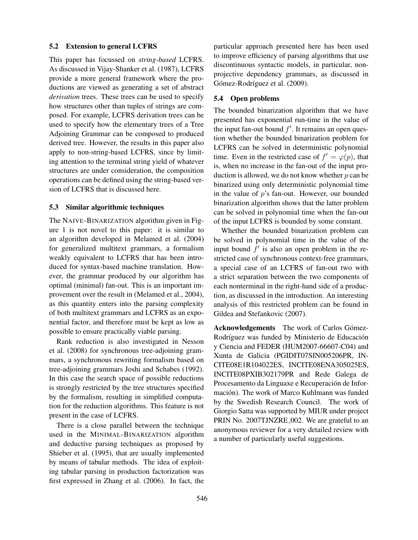#### 5.2 Extension to general LCFRS

This paper has focussed on *string-based* LCFRS. As discussed in Vijay-Shanker et al. (1987), LCFRS provide a more general framework where the productions are viewed as generating a set of abstract *derivation* trees. These trees can be used to specify how structures other than tuples of strings are composed. For example, LCFRS derivation trees can be used to specify how the elementary trees of a Tree Adjoining Grammar can be composed to produced derived tree. However, the results in this paper also apply to non-string-based LCFRS, since by limiting attention to the terminal string yield of whatever structures are under consideration, the composition operations can be defined using the string-based version of LCFRS that is discussed here.

#### 5.3 Similar algorithmic techniques

The NAIVE-BINARIZATION algorithm given in Figure 1 is not novel to this paper: it is similar to an algorithm developed in Melamed et al. (2004) for generalized multitext grammars, a formalism weakly equivalent to LCFRS that has been introduced for syntax-based machine translation. However, the grammar produced by our algorithm has optimal (minimal) fan-out. This is an important improvement over the result in (Melamed et al., 2004), as this quantity enters into the parsing complexity of both multitext grammars and LCFRS as an exponential factor, and therefore must be kept as low as possible to ensure practically viable parsing.

Rank reduction is also investigated in Nesson et al. (2008) for synchronous tree-adjoining grammars, a synchronous rewriting formalism based on tree-adjoining grammars Joshi and Schabes (1992). In this case the search space of possible reductions is strongly restricted by the tree structures specified by the formalism, resulting in simplified computation for the reduction algorithms. This feature is not present in the case of LCFRS.

There is a close parallel between the technique used in the MINIMAL-BINARIZATION algorithm and deductive parsing techniques as proposed by Shieber et al. (1995), that are usually implemented by means of tabular methods. The idea of exploiting tabular parsing in production factorization was first expressed in Zhang et al. (2006). In fact, the

particular approach presented here has been used to improve efficiency of parsing algorithms that use discontinuous syntactic models, in particular, nonprojective dependency grammars, as discussed in Gómez-Rodríguez et al. (2009).

#### 5.4 Open problems

The bounded binarization algorithm that we have presented has exponential run-time in the value of the input fan-out bound  $f'$ . It remains an open question whether the bounded binarization problem for LCFRS can be solved in deterministic polynomial time. Even in the restricted case of  $f' = \varphi(p)$ , that is, when no increase in the fan-out of the input production is allowed, we do not know whether  $p$  can be binarized using only deterministic polynomial time in the value of  $p$ 's fan-out. However, our bounded binarization algorithm shows that the latter problem can be solved in polynomial time when the fan-out of the input LCFRS is bounded by some constant.

Whether the bounded binarization problem can be solved in polynomial time in the value of the input bound  $f'$  is also an open problem in the restricted case of synchronous context-free grammars, a special case of an LCFRS of fan-out two with a strict separation between the two components of each nonterminal in the right-hand side of a production, as discussed in the introduction. An interesting analysis of this restricted problem can be found in Gildea and Stefankovic (2007).

Acknowledgements The work of Carlos Gómez-Rodríguez was funded by Ministerio de Educación y Ciencia and FEDER (HUM2007-66607-C04) and Xunta de Galicia (PGIDIT07SIN005206PR, IN-CITE08E1R104022ES, INCITE08ENA305025ES, INCITE08PXIB302179PR and Rede Galega de Procesamento da Linguaxe e Recuperación de Información). The work of Marco Kuhlmann was funded by the Swedish Research Council. The work of Giorgio Satta was supported by MIUR under project PRIN No. 2007TJNZRE 002. We are grateful to an anonymous reviewer for a very detailed review with a number of particularly useful suggestions.